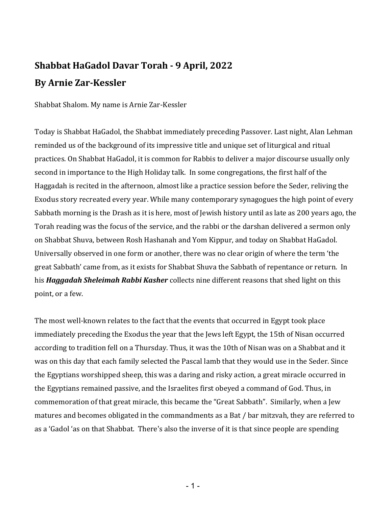## **Shabbat HaGadol Davar Torah - 9 April, 2022 By Arnie Zar-Kessler**

Shabbat Shalom. My name is Arnie Zar-Kessler

Today is Shabbat HaGadol, the Shabbat immediately preceding Passover. Last night, Alan Lehman reminded us of the background of its impressive title and unique set of liturgical and ritual practices. On Shabbat HaGadol, it is common for Rabbis to deliver a major discourse usually only second in importance to the High Holiday talk. In some congregations, the first half of the Haggadah is recited in the afternoon, almost like a practice session before the Seder, reliving the Exodus story recreated every year. While many contemporary synagogues the high point of every Sabbath morning is the Drash as it is here, most of Jewish history until as late as 200 years ago, the Torah reading was the focus of the service, and the rabbi or the darshan delivered a sermon only on Shabbat Shuva, between Rosh Hashanah and Yom Kippur, and today on Shabbat HaGadol. Universally observed in one form or another, there was no clear origin of where the term 'the great Sabbath' came from, as it exists for Shabbat Shuva the Sabbath of repentance or return. In his **Haggadah Sheleimah Rabbi Kasher** collects nine different reasons that shed light on this point, or a few.

The most well-known relates to the fact that the events that occurred in Egypt took place immediately preceding the Exodus the year that the Jews left Egypt, the 15th of Nisan occurred according to tradition fell on a Thursday. Thus, it was the 10th of Nisan was on a Shabbat and it was on this day that each family selected the Pascal lamb that they would use in the Seder. Since the Egyptians worshipped sheep, this was a daring and risky action, a great miracle occurred in the Egyptians remained passive, and the Israelites first obeyed a command of God. Thus, in commemoration of that great miracle, this became the "Great Sabbath". Similarly, when a Jew matures and becomes obligated in the commandments as a Bat / bar mitzvah, they are referred to as a 'Gadol 'as on that Shabbat. There's also the inverse of it is that since people are spending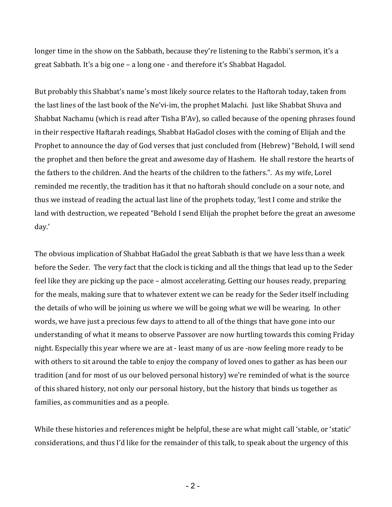longer time in the show on the Sabbath, because they're listening to the Rabbi's sermon, it's a great Sabbath. It's a big one - a long one - and therefore it's Shabbat Hagadol.

But probably this Shabbat's name's most likely source relates to the Haftorah today, taken from the last lines of the last book of the Ne'vi-im, the prophet Malachi. Just like Shabbat Shuva and Shabbat Nachamu (which is read after Tisha B'Av), so called because of the opening phrases found in their respective Haftarah readings, Shabbat HaGadol closes with the coming of Elijah and the Prophet to announce the day of God verses that just concluded from (Hebrew) "Behold, I will send the prophet and then before the great and awesome day of Hashem. He shall restore the hearts of the fathers to the children. And the hearts of the children to the fathers.". As my wife, Lorel reminded me recently, the tradition has it that no haftorah should conclude on a sour note, and thus we instead of reading the actual last line of the prophets today, 'lest I come and strike the land with destruction, we repeated "Behold I send Elijah the prophet before the great an awesome day.'

The obvious implication of Shabbat HaGadol the great Sabbath is that we have less than a week before the Seder. The very fact that the clock is ticking and all the things that lead up to the Seder feel like they are picking up the pace – almost accelerating. Getting our houses ready, preparing for the meals, making sure that to whatever extent we can be ready for the Seder itself including the details of who will be joining us where we will be going what we will be wearing. In other words, we have just a precious few days to attend to all of the things that have gone into our understanding of what it means to observe Passover are now hurtling towards this coming Friday night. Especially this year where we are at - least many of us are -now feeling more ready to be with others to sit around the table to enjoy the company of loved ones to gather as has been our tradition (and for most of us our beloved personal history) we're reminded of what is the source of this shared history, not only our personal history, but the history that binds us together as families, as communities and as a people.

While these histories and references might be helpful, these are what might call 'stable, or 'static' considerations, and thus I'd like for the remainder of this talk, to speak about the urgency of this

- 2 -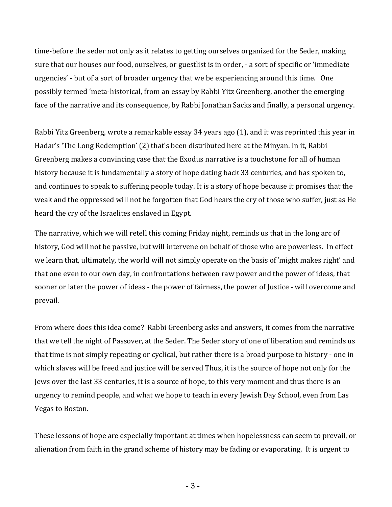time-before the seder not only as it relates to getting ourselves organized for the Seder, making sure that our houses our food, ourselves, or guestlist is in order, - a sort of specific or 'immediate urgencies' - but of a sort of broader urgency that we be experiencing around this time. One possibly termed 'meta-historical, from an essay by Rabbi Yitz Greenberg, another the emerging face of the narrative and its consequence, by Rabbi Jonathan Sacks and finally, a personal urgency.

Rabbi Yitz Greenberg, wrote a remarkable essay 34 years ago  $(1)$ , and it was reprinted this year in Hadar's 'The Long Redemption' (2) that's been distributed here at the Minyan. In it, Rabbi Greenberg makes a convincing case that the Exodus narrative is a touchstone for all of human history because it is fundamentally a story of hope dating back 33 centuries, and has spoken to, and continues to speak to suffering people today. It is a story of hope because it promises that the weak and the oppressed will not be forgotten that God hears the cry of those who suffer, just as He heard the cry of the Israelites enslaved in Egypt.

The narrative, which we will retell this coming Friday night, reminds us that in the long arc of history, God will not be passive, but will intervene on behalf of those who are powerless. In effect we learn that, ultimately, the world will not simply operate on the basis of 'might makes right' and that one even to our own day, in confrontations between raw power and the power of ideas, that sooner or later the power of ideas - the power of fairness, the power of Justice - will overcome and prevail. 

From where does this idea come? Rabbi Greenberg asks and answers, it comes from the narrative that we tell the night of Passover, at the Seder. The Seder story of one of liberation and reminds us that time is not simply repeating or cyclical, but rather there is a broad purpose to history - one in which slaves will be freed and justice will be served Thus, it is the source of hope not only for the Jews over the last 33 centuries, it is a source of hope, to this very moment and thus there is an urgency to remind people, and what we hope to teach in every Jewish Day School, even from Las Vegas to Boston.

These lessons of hope are especially important at times when hopelessness can seem to prevail, or alienation from faith in the grand scheme of history may be fading or evaporating. It is urgent to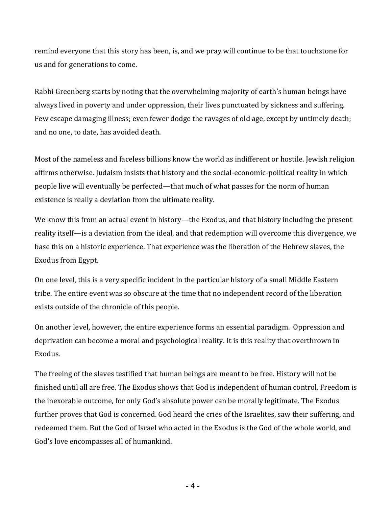remind everyone that this story has been, is, and we pray will continue to be that touchstone for us and for generations to come.

Rabbi Greenberg starts by noting that the overwhelming majority of earth's human beings have always lived in poverty and under oppression, their lives punctuated by sickness and suffering. Few escape damaging illness; even fewer dodge the ravages of old age, except by untimely death; and no one, to date, has avoided death.

Most of the nameless and faceless billions know the world as indifferent or hostile. Jewish religion affirms otherwise. Judaism insists that history and the social-economic-political reality in which people live will eventually be perfected—that much of what passes for the norm of human existence is really a deviation from the ultimate reality.

We know this from an actual event in history—the Exodus, and that history including the present reality itself—is a deviation from the ideal, and that redemption will overcome this divergence, we base this on a historic experience. That experience was the liberation of the Hebrew slaves, the Exodus from Egypt.

On one level, this is a very specific incident in the particular history of a small Middle Eastern tribe. The entire event was so obscure at the time that no independent record of the liberation exists outside of the chronicle of this people.

On another level, however, the entire experience forms an essential paradigm. Oppression and deprivation can become a moral and psychological reality. It is this reality that overthrown in Exodus.

The freeing of the slaves testified that human beings are meant to be free. History will not be finished until all are free. The Exodus shows that God is independent of human control. Freedom is the inexorable outcome, for only God's absolute power can be morally legitimate. The Exodus further proves that God is concerned. God heard the cries of the Israelites, saw their suffering, and redeemed them. But the God of Israel who acted in the Exodus is the God of the whole world, and God's love encompasses all of humankind.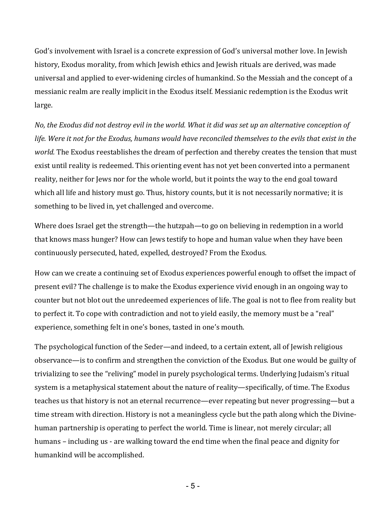God's involvement with Israel is a concrete expression of God's universal mother love. In Jewish history, Exodus morality, from which Jewish ethics and Jewish rituals are derived, was made universal and applied to ever-widening circles of humankind. So the Messiah and the concept of a messianic realm are really implicit in the Exodus itself. Messianic redemption is the Exodus writ large. 

*No,* the Exodus did not destroy evil in the world. What it did was set up an alternative conception of *life.* Were it not for the Exodus, humans would have reconciled themselves to the evils that exist in the *world.* The Exodus reestablishes the dream of perfection and thereby creates the tension that must exist until reality is redeemed. This orienting event has not yet been converted into a permanent reality, neither for Jews nor for the whole world, but it points the way to the end goal toward which all life and history must go. Thus, history counts, but it is not necessarily normative; it is something to be lived in, yet challenged and overcome.

Where does Israel get the strength—the hutzpah—to go on believing in redemption in a world that knows mass hunger? How can Jews testify to hope and human value when they have been continuously persecuted, hated, expelled, destroyed? From the Exodus.

How can we create a continuing set of Exodus experiences powerful enough to offset the impact of present evil? The challenge is to make the Exodus experience vivid enough in an ongoing way to counter but not blot out the unredeemed experiences of life. The goal is not to flee from reality but to perfect it. To cope with contradiction and not to yield easily, the memory must be a "real" experience, something felt in one's bones, tasted in one's mouth.

The psychological function of the Seder—and indeed, to a certain extent, all of Jewish religious observance—is to confirm and strengthen the conviction of the Exodus. But one would be guilty of trivializing to see the "reliving" model in purely psychological terms. Underlying Judaism's ritual system is a metaphysical statement about the nature of reality—specifically, of time. The Exodus teaches us that history is not an eternal recurrence—ever repeating but never progressing—but a time stream with direction. History is not a meaningless cycle but the path along which the Divinehuman partnership is operating to perfect the world. Time is linear, not merely circular; all humans – including us - are walking toward the end time when the final peace and dignity for humankind will be accomplished.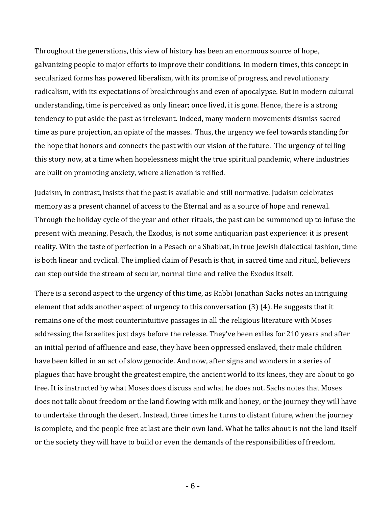Throughout the generations, this view of history has been an enormous source of hope, galvanizing people to major efforts to improve their conditions. In modern times, this concept in secularized forms has powered liberalism, with its promise of progress, and revolutionary radicalism, with its expectations of breakthroughs and even of apocalypse. But in modern cultural understanding, time is perceived as only linear; once lived, it is gone. Hence, there is a strong tendency to put aside the past as irrelevant. Indeed, many modern movements dismiss sacred time as pure projection, an opiate of the masses. Thus, the urgency we feel towards standing for the hope that honors and connects the past with our vision of the future. The urgency of telling this story now, at a time when hopelessness might the true spiritual pandemic, where industries are built on promoting anxiety, where alienation is reified.

Judaism, in contrast, insists that the past is available and still normative. Judaism celebrates memory as a present channel of access to the Eternal and as a source of hope and renewal. Through the holiday cycle of the year and other rituals, the past can be summoned up to infuse the present with meaning. Pesach, the Exodus, is not some antiquarian past experience: it is present reality. With the taste of perfection in a Pesach or a Shabbat, in true Jewish dialectical fashion, time is both linear and cyclical. The implied claim of Pesach is that, in sacred time and ritual, believers can step outside the stream of secular, normal time and relive the Exodus itself.

There is a second aspect to the urgency of this time, as Rabbi Jonathan Sacks notes an intriguing element that adds another aspect of urgency to this conversation  $(3)$  (4). He suggests that it remains one of the most counterintuitive passages in all the religious literature with Moses addressing the Israelites just days before the release. They've been exiles for 210 years and after an initial period of affluence and ease, they have been oppressed enslaved, their male children have been killed in an act of slow genocide. And now, after signs and wonders in a series of plagues that have brought the greatest empire, the ancient world to its knees, they are about to go free. It is instructed by what Moses does discuss and what he does not. Sachs notes that Moses does not talk about freedom or the land flowing with milk and honey, or the journey they will have to undertake through the desert. Instead, three times he turns to distant future, when the journey is complete, and the people free at last are their own land. What he talks about is not the land itself or the society they will have to build or even the demands of the responsibilities of freedom.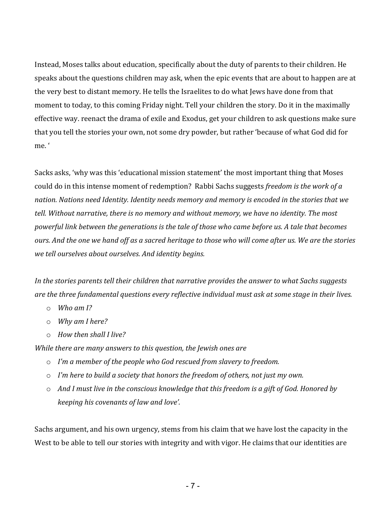Instead, Moses talks about education, specifically about the duty of parents to their children. He speaks about the questions children may ask, when the epic events that are about to happen are at the very best to distant memory. He tells the Israelites to do what Jews have done from that moment to today, to this coming Friday night. Tell your children the story. Do it in the maximally effective way. reenact the drama of exile and Exodus, get your children to ask questions make sure that you tell the stories your own, not some dry powder, but rather 'because of what God did for me.'

Sacks asks, 'why was this 'educational mission statement' the most important thing that Moses could do in this intense moment of redemption? Rabbi Sachs suggests *freedom is the work of a* nation. Nations need Identity. Identity needs memory and memory is encoded in the stories that we *tell.* Without narrative, there is no memory and without memory, we have no identity. The most *powerful link between the generations is the tale of those who came before us. A tale that becomes ours.* And the one we hand off as a sacred heritage to those who will come after us. We are the stories we tell ourselves about ourselves. And *identity* begins.

In the stories parents tell their children that narrative provides the answer to what Sachs suggests *are the three fundamental questions every reflective individual must ask at some stage in their lives.* 

- $\circ$  *Who am I?*
- o *Why am I here?*
- o *How then shall I live?*

*While there are many answers to this question, the Jewish ones are* 

- $\circ$  *I'm a member of the people who God rescued from slavery to freedom.*
- $\circ$  *I'm here to build a society that honors the freedom of others, not just my own.*
- $\circ$  *And I must live in the conscious knowledge that this freedom is a gift of God. Honored by keeping his covenants of law and love'.*

Sachs argument, and his own urgency, stems from his claim that we have lost the capacity in the West to be able to tell our stories with integrity and with vigor. He claims that our identities are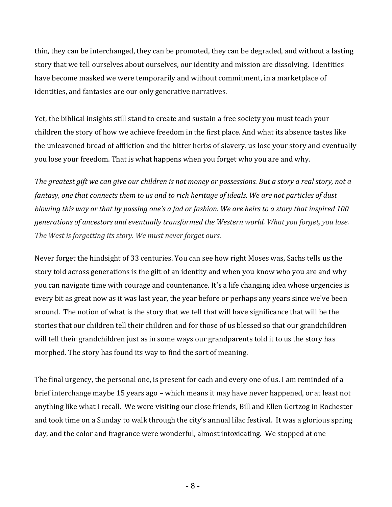thin, they can be interchanged, they can be promoted, they can be degraded, and without a lasting story that we tell ourselves about ourselves, our identity and mission are dissolving. Identities have become masked we were temporarily and without commitment, in a marketplace of identities, and fantasies are our only generative narratives.

Yet, the biblical insights still stand to create and sustain a free society you must teach your children the story of how we achieve freedom in the first place. And what its absence tastes like the unleavened bread of affliction and the bitter herbs of slavery. us lose your story and eventually you lose your freedom. That is what happens when you forget who you are and why.

The greatest gift we can give our children is not money or possessions. But a story a real story, not a fantasy, one that connects them to us and to rich heritage of ideals. We are not particles of dust *blowing this way or that by passing one's a fad or fashion. We are heirs to a story that inspired 100* generations of ancestors and eventually transformed the Western world. What you forget, you lose. The West is forgetting its story. We must never forget ours.

Never forget the hindsight of 33 centuries. You can see how right Moses was, Sachs tells us the story told across generations is the gift of an identity and when you know who you are and why you can navigate time with courage and countenance. It's a life changing idea whose urgencies is every bit as great now as it was last year, the year before or perhaps any years since we've been around. The notion of what is the story that we tell that will have significance that will be the stories that our children tell their children and for those of us blessed so that our grandchildren will tell their grandchildren just as in some ways our grandparents told it to us the story has morphed. The story has found its way to find the sort of meaning.

The final urgency, the personal one, is present for each and every one of us. I am reminded of a brief interchange maybe 15 years ago – which means it may have never happened, or at least not anything like what I recall. We were visiting our close friends, Bill and Ellen Gertzog in Rochester and took time on a Sunday to walk through the city's annual lilac festival. It was a glorious spring day, and the color and fragrance were wonderful, almost intoxicating. We stopped at one

 $- 8 -$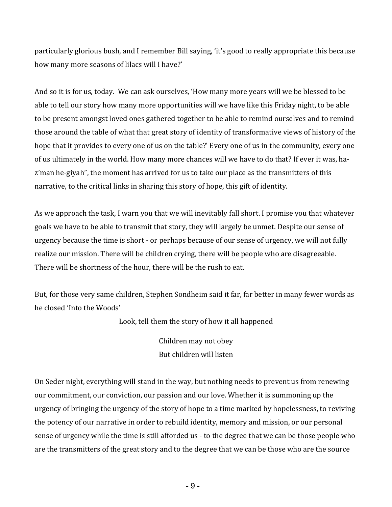particularly glorious bush, and I remember Bill saying, 'it's good to really appropriate this because how many more seasons of lilacs will I have?'

And so it is for us, today. We can ask ourselves, 'How many more years will we be blessed to be able to tell our story how many more opportunities will we have like this Friday night, to be able to be present amongst loved ones gathered together to be able to remind ourselves and to remind those around the table of what that great story of identity of transformative views of history of the hope that it provides to every one of us on the table?' Every one of us in the community, every one of us ultimately in the world. How many more chances will we have to do that? If ever it was, haz'man he-giyah", the moment has arrived for us to take our place as the transmitters of this narrative, to the critical links in sharing this story of hope, this gift of identity.

As we approach the task, I warn you that we will inevitably fall short. I promise you that whatever goals we have to be able to transmit that story, they will largely be unmet. Despite our sense of urgency because the time is short - or perhaps because of our sense of urgency, we will not fully realize our mission. There will be children crying, there will be people who are disagreeable. There will be shortness of the hour, there will be the rush to eat.

But, for those very same children, Stephen Sondheim said it far, far better in many fewer words as he closed 'Into the Woods'

Look, tell them the story of how it all happened

Children may not obey But children will listen

On Seder night, everything will stand in the way, but nothing needs to prevent us from renewing our commitment, our conviction, our passion and our love. Whether it is summoning up the urgency of bringing the urgency of the story of hope to a time marked by hopelessness, to reviving the potency of our narrative in order to rebuild identity, memory and mission, or our personal sense of urgency while the time is still afforded us - to the degree that we can be those people who are the transmitters of the great story and to the degree that we can be those who are the source